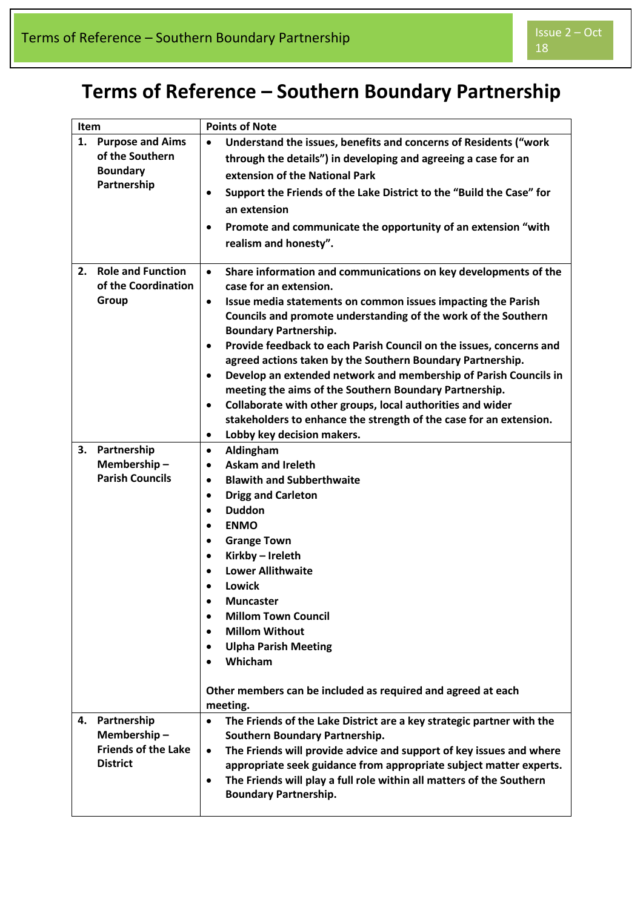## **Terms of Reference – Southern Boundary Partnership**

| Item                                 |                                                 | <b>Points of Note</b>                                                                                                                                                                                                                                                                                                                                                                                                                                                                                                                                                                                                                                                                                                                                                          |
|--------------------------------------|-------------------------------------------------|--------------------------------------------------------------------------------------------------------------------------------------------------------------------------------------------------------------------------------------------------------------------------------------------------------------------------------------------------------------------------------------------------------------------------------------------------------------------------------------------------------------------------------------------------------------------------------------------------------------------------------------------------------------------------------------------------------------------------------------------------------------------------------|
| 1.<br><b>Boundary</b><br>Partnership | <b>Purpose and Aims</b><br>of the Southern      | Understand the issues, benefits and concerns of Residents ("work<br>$\bullet$<br>through the details") in developing and agreeing a case for an<br>extension of the National Park<br>Support the Friends of the Lake District to the "Build the Case" for<br>$\bullet$<br>an extension<br>Promote and communicate the opportunity of an extension "with<br>$\bullet$<br>realism and honesty".                                                                                                                                                                                                                                                                                                                                                                                  |
| 2.<br>Group                          | <b>Role and Function</b><br>of the Coordination | Share information and communications on key developments of the<br>$\bullet$<br>case for an extension.<br>Issue media statements on common issues impacting the Parish<br>$\bullet$<br>Councils and promote understanding of the work of the Southern<br><b>Boundary Partnership.</b><br>Provide feedback to each Parish Council on the issues, concerns and<br>$\bullet$<br>agreed actions taken by the Southern Boundary Partnership.<br>Develop an extended network and membership of Parish Councils in<br>$\bullet$<br>meeting the aims of the Southern Boundary Partnership.<br>Collaborate with other groups, local authorities and wider<br>$\bullet$<br>stakeholders to enhance the strength of the case for an extension.<br>Lobby key decision makers.<br>$\bullet$ |
| 3.<br>Partnership                    | Membership-<br><b>Parish Councils</b>           | Aldingham<br>$\bullet$<br><b>Askam and Ireleth</b><br>$\bullet$<br><b>Blawith and Subberthwaite</b><br>$\bullet$<br><b>Drigg and Carleton</b><br>$\bullet$<br><b>Duddon</b><br>$\bullet$<br><b>ENMO</b><br>$\bullet$<br><b>Grange Town</b><br>$\bullet$<br>Kirkby - Ireleth<br>$\bullet$<br><b>Lower Allithwaite</b><br>$\bullet$<br>Lowick<br>$\bullet$<br><b>Muncaster</b><br><b>Millom Town Council</b><br>$\bullet$<br><b>Millom Without</b><br>$\bullet$<br><b>Ulpha Parish Meeting</b><br>$\bullet$<br>Whicham<br>$\bullet$<br>Other members can be included as required and agreed at each<br>meeting.                                                                                                                                                                  |
| Partnership<br>4.<br><b>District</b> | Membership-<br><b>Friends of the Lake</b>       | The Friends of the Lake District are a key strategic partner with the<br>$\bullet$<br>Southern Boundary Partnership.<br>The Friends will provide advice and support of key issues and where<br>$\bullet$<br>appropriate seek guidance from appropriate subject matter experts.<br>The Friends will play a full role within all matters of the Southern<br>$\bullet$<br><b>Boundary Partnership.</b>                                                                                                                                                                                                                                                                                                                                                                            |